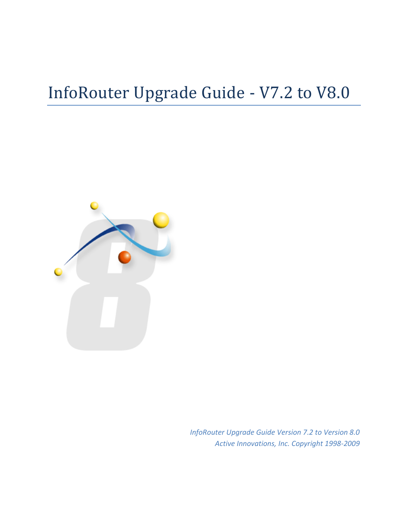# InfoRouter Upgrade Guide - V7.2 to V8.0



*InfoRouter Upgrade Guide Version 7.2 to Version 8.0 Active Innovations, Inc. Copyright 1998-2009*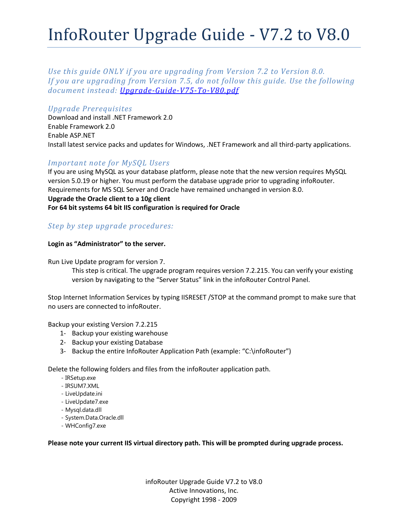# InfoRouter Upgrade Guide - V7.2 to V8.0

*Use this guide ONLY if you are upgrading from Version 7.2 to Version 8.0. If you are upgrading from Version 7.5, do not follow this guide. Use the following document instead: [Upgrade-Guide-V75-To-V80.pdf](http://www.inforouter.com/Downloads/V80/Upgrade-Guide-V75-To-V80.pdf)*

## *Upgrade Prerequisites*

Download and install .NET Framework 2.0 Enable Framework 2.0 Enable ASP.NET Install latest service packs and updates for Windows, .NET Framework and all third-party applications.

## *Important note for MySQL Users*

If you are using MySQL as your database platform, please note that the new version requires MySQL version 5.0.19 or higher. You must perform the database upgrade prior to upgrading infoRouter. Requirements for MS SQL Server and Oracle have remained unchanged in version 8.0. **Upgrade the Oracle client to a 10g client For 64 bit systems 64 bit IIS configuration is required for Oracle** 

# *Step by step upgrade procedures:*

### **Login as "Administrator" to the server.**

Run Live Update program for version 7.

This step is critical. The upgrade program requires version 7.2.215. You can verify your existing version by navigating to the "Server Status" link in the infoRouter Control Panel.

Stop Internet Information Services by typing IISRESET /STOP at the command prompt to make sure that no users are connected to infoRouter.

Backup your existing Version 7.2.215

- 1- Backup your existing warehouse
- 2- Backup your existing Database
- 3- Backup the entire InfoRouter Application Path (example: "C:\infoRouter")

Delete the following folders and files from the infoRouter application path.

- IRSetup.exe
- IRSUM7.XML
- LiveUpdate.ini
- LiveUpdate7.exe
- Mysql.data.dll
- System.Data.Oracle.dll
- WHConfig7.exe

#### **Please note your current IIS virtual directory path. This will be prompted during upgrade process.**

infoRouter Upgrade Guide V7.2 to V8.0 Active Innovations, Inc. Copyright 1998 - 2009